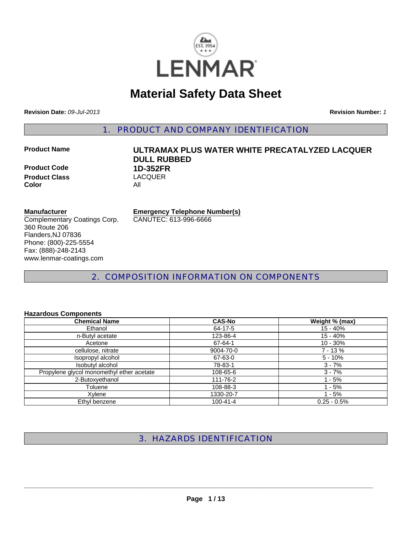

# **Material Safety Data Sheet**

**Revision Date:** *09-Jul-2013* **Revision Number:** *1*

1. PRODUCT AND COMPANY IDENTIFICATION

**Product Code 1D-352FR Product Class Color** All

# **Product Name ULTRAMAX PLUS WATER WHITE PRECATALYZED LACQUER DULL RUBBED**

#### **Manufacturer**

Complementary Coatings Corp. 360 Route 206 Flanders,NJ 07836 Phone: (800)-225-5554 Fax: (888)-248-2143 www.lenmar-coatings.com

**Emergency Telephone Number(s)**

CANUTEC: 613-996-6666

2. COMPOSITION INFORMATION ON COMPONENTS

#### **Hazardous Components**

| <b>Chemical Name</b>                      | <b>CAS-No</b>  | Weight % (max) |
|-------------------------------------------|----------------|----------------|
| Ethanol                                   | 64-17-5        | 15 - 40%       |
| n-Butyl acetate                           | 123-86-4       | $15 - 40%$     |
| Acetone                                   | 67-64-1        | $10 - 30%$     |
| cellulose, nitrate                        | 9004-70-0      | $7 - 13%$      |
| Isopropyl alcohol                         | 67-63-0        | $5 - 10%$      |
| Isobutyl alcohol                          | 78-83-1        | $3 - 7%$       |
| Propylene glycol monomethyl ether acetate | 108-65-6       | $3 - 7%$       |
| 2-Butoxyethanol                           | 111-76-2       | l - 5%         |
| Toluene                                   | 108-88-3       | - 5%           |
| Xvlene                                    | 1330-20-7      | 1 - 5%         |
| Ethyl benzene                             | $100 - 41 - 4$ | $0.25 - 0.5%$  |

# 3. HAZARDS IDENTIFICATION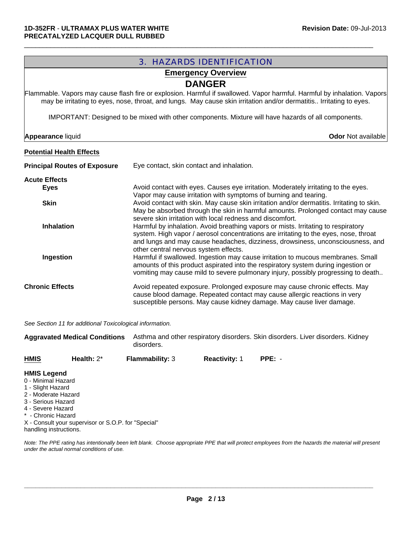# 3. HAZARDS IDENTIFICATION **Potential Health Effects Principal Routes of Exposure** Eye contact, skin contact and inhalation. **Acute Effects Eyes** Eyes **Avoid contact with eyes. Causes eye irritation. Moderately irritating to the eyes.** Vapor may cause irritation with symptoms of burning and tearing. **Skin Avoid contact with skin. May cause skin irritation and/or dermatitis. Irritating to skin.** May be absorbed through the skin in harmful amounts. Prolonged contact may cause severe skin irritation with local redness and discomfort. **Inhalation Harmful by inhalation.** Avoid breathing vapors or mists. Irritating to respiratory system. High vapor / aerosol concentrations are irritating to the eyes, nose, throat and lungs and may cause headaches, dizziness, drowsiness, unconsciousness, and other central nervous system effects. **Ingestion Harmful if swallowed. Ingestion may cause irritation to mucous membranes. Small** amounts of this product aspirated into the respiratory system during ingestion or vomiting may cause mild to severe pulmonary injury, possibly progressing to death.. **Chronic Effects** Avoid repeated exposure. Prolonged exposure may cause chronic effects. May cause blood damage. Repeated contact may cause allergic reactions in very susceptible persons. May cause kidney damage. May cause liver damage. **Emergency Overview** IMPORTANT: Designed to be mixed with other components. Mixture will have hazards of all components. **DANGER** Flammable. Vapors may cause flash fire or explosion. Harmful if swallowed. Vapor harmful. Harmful by inhalation. Vapors may be irritating to eyes, nose, throat, and lungs. May cause skin irritation and/or dermatitis.. Irritating to eyes. **Appearance** liquid **Odor** Not available

 $\Box$ 

*See Section 11 for additional Toxicological information.*

| <b>Aggravated Medical Conditions</b> |               | disorders.             | Asthma and other respiratory disorders. Skin disorders. Liver disorders. Kidney |          |  |
|--------------------------------------|---------------|------------------------|---------------------------------------------------------------------------------|----------|--|
| <b>HMIS</b>                          | Health: $2^*$ | <b>Flammability: 3</b> | <b>Reactivity: 1</b>                                                            | $PPE: -$ |  |

#### **HMIS Legend**

- 0 Minimal Hazard
- 1 Slight Hazard
- 2 Moderate Hazard
- 3 Serious Hazard
- 4 Severe Hazard
- \* Chronic Hazard

X - Consult your supervisor or S.O.P. for "Special" handling instructions.

*Note: The PPE rating has intentionally been left blank. Choose appropriate PPE that will protect employees from the hazards the material will present under the actual normal conditions of use.*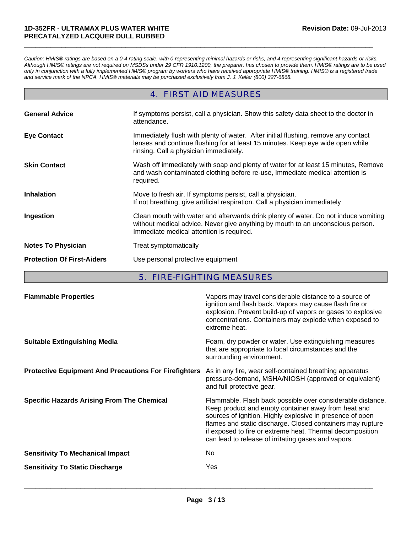*Caution: HMIS® ratings are based on a 0-4 rating scale, with 0 representing minimal hazards or risks, and 4 representing significant hazards or risks. Although HMIS® ratings are not required on MSDSs under 29 CFR 1910.1200, the preparer, has chosen to provide them. HMIS® ratings are to be used only in conjunction with a fully implemented HMIS® program by workers who have received appropriate HMIS® training. HMIS® is a registered trade and service mark of the NPCA. HMIS® materials may be purchased exclusively from J. J. Keller (800) 327-6868.*

 $\Box$ 

#### 4. FIRST AID MEASURES

| <b>General Advice</b>             | If symptoms persist, call a physician. Show this safety data sheet to the doctor in<br>attendance.                                                                                                                |
|-----------------------------------|-------------------------------------------------------------------------------------------------------------------------------------------------------------------------------------------------------------------|
| <b>Eye Contact</b>                | Immediately flush with plenty of water. After initial flushing, remove any contact<br>lenses and continue flushing for at least 15 minutes. Keep eye wide open while<br>rinsing. Call a physician immediately.    |
| <b>Skin Contact</b>               | Wash off immediately with soap and plenty of water for at least 15 minutes, Remove<br>and wash contaminated clothing before re-use, Immediate medical attention is<br>required.                                   |
| <b>Inhalation</b>                 | Move to fresh air. If symptoms persist, call a physician.<br>If not breathing, give artificial respiration. Call a physician immediately                                                                          |
| Ingestion                         | Clean mouth with water and afterwards drink plenty of water. Do not induce vomiting<br>without medical advice. Never give anything by mouth to an unconscious person.<br>Immediate medical attention is required. |
| <b>Notes To Physician</b>         | Treat symptomatically                                                                                                                                                                                             |
| <b>Protection Of First-Aiders</b> | Use personal protective equipment                                                                                                                                                                                 |

#### 5. FIRE-FIGHTING MEASURES

| <b>Flammable Properties</b>                                  | Vapors may travel considerable distance to a source of<br>ignition and flash back. Vapors may cause flash fire or<br>explosion. Prevent build-up of vapors or gases to explosive<br>concentrations. Containers may explode when exposed to<br>extreme heat.                                                                                                      |
|--------------------------------------------------------------|------------------------------------------------------------------------------------------------------------------------------------------------------------------------------------------------------------------------------------------------------------------------------------------------------------------------------------------------------------------|
| <b>Suitable Extinguishing Media</b>                          | Foam, dry powder or water. Use extinguishing measures<br>that are appropriate to local circumstances and the<br>surrounding environment.                                                                                                                                                                                                                         |
| <b>Protective Equipment And Precautions For Firefighters</b> | As in any fire, wear self-contained breathing apparatus<br>pressure-demand, MSHA/NIOSH (approved or equivalent)<br>and full protective gear.                                                                                                                                                                                                                     |
| <b>Specific Hazards Arising From The Chemical</b>            | Flammable. Flash back possible over considerable distance.<br>Keep product and empty container away from heat and<br>sources of ignition. Highly explosive in presence of open<br>flames and static discharge. Closed containers may rupture<br>if exposed to fire or extreme heat. Thermal decomposition<br>can lead to release of irritating gases and vapors. |
| <b>Sensitivity To Mechanical Impact</b>                      | No.                                                                                                                                                                                                                                                                                                                                                              |
| <b>Sensitivity To Static Discharge</b>                       | Yes                                                                                                                                                                                                                                                                                                                                                              |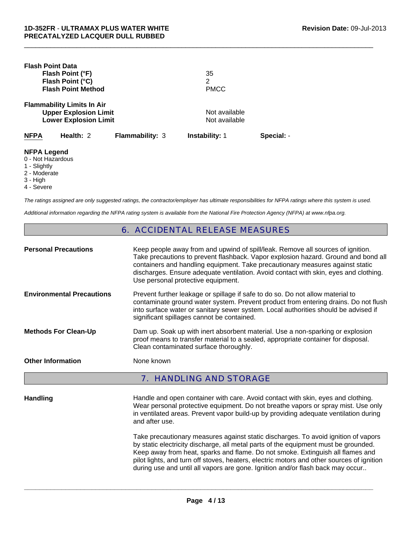| <b>Flash Point Data</b>                 | Flash Point (°F)<br>Flash Point (°C)<br><b>Flash Point Method</b>                                 |                        | 35<br>2<br><b>PMCC</b>         |            |
|-----------------------------------------|---------------------------------------------------------------------------------------------------|------------------------|--------------------------------|------------|
|                                         | <b>Flammability Limits In Air</b><br><b>Upper Explosion Limit</b><br><b>Lower Explosion Limit</b> |                        | Not available<br>Not available |            |
| <b>NFPA</b>                             | Health: 2                                                                                         | <b>Flammability: 3</b> | <b>Instability: 1</b>          | Special: - |
| <b>NFPA Legend</b><br>0 - Not Hazardous |                                                                                                   |                        |                                |            |

- 1 Slightly
- 2 Moderate
- 3 High
- 4 Severe

*The ratings assigned are only suggested ratings, the contractor/employer has ultimate responsibilities for NFPA ratings where this system is used.*

 $\Box$ 

*Additional information regarding the NFPA rating system is available from the National Fire Protection Agency (NFPA) at www.nfpa.org.*

#### 6. ACCIDENTAL RELEASE MEASURES

| <b>Personal Precautions</b>      | Keep people away from and upwind of spill/leak. Remove all sources of ignition.<br>Take precautions to prevent flashback. Vapor explosion hazard. Ground and bond all<br>containers and handling equipment. Take precautionary measures against static<br>discharges. Ensure adequate ventilation. Avoid contact with skin, eyes and clothing.<br>Use personal protective equipment. |
|----------------------------------|--------------------------------------------------------------------------------------------------------------------------------------------------------------------------------------------------------------------------------------------------------------------------------------------------------------------------------------------------------------------------------------|
| <b>Environmental Precautions</b> | Prevent further leakage or spillage if safe to do so. Do not allow material to<br>contaminate ground water system. Prevent product from entering drains. Do not flush<br>into surface water or sanitary sewer system. Local authorities should be advised if<br>significant spillages cannot be contained.                                                                           |
| <b>Methods For Clean-Up</b>      | Dam up. Soak up with inert absorbent material. Use a non-sparking or explosion<br>proof means to transfer material to a sealed, appropriate container for disposal.<br>Clean contaminated surface thoroughly.                                                                                                                                                                        |
| <b>Other Information</b>         | None known                                                                                                                                                                                                                                                                                                                                                                           |
|                                  | <b>7. HANDLING AND STORAGE</b>                                                                                                                                                                                                                                                                                                                                                       |

Handling **Handle and open container with care. Avoid contact with skin, eyes and clothing.** Wear personal protective equipment. Do not breathe vapors or spray mist. Use only in ventilated areas. Prevent vapor build-up by providing adequate ventilation during and after use.

> Take precautionary measures against static discharges. To avoid ignition of vapors by static electricity discharge, all metal parts of the equipment must be grounded. Keep away from heat, sparks and flame. Do not smoke. Extinguish all flames and pilot lights, and turn off stoves, heaters, electric motors and other sources of ignition during use and until all vapors are gone. Ignition and/or flash back may occur..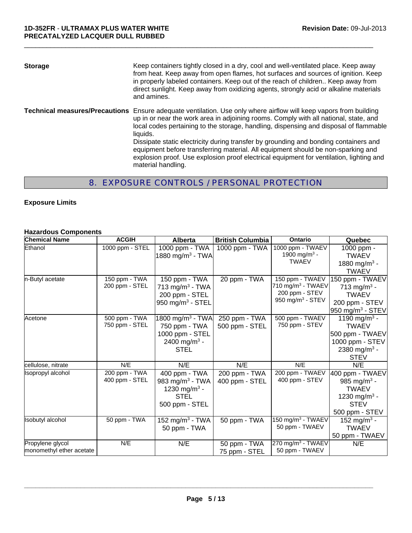| <b>Storage</b>                        | Keep containers tightly closed in a dry, cool and well-ventilated place. Keep away<br>from heat. Keep away from open flames, hot surfaces and sources of ignition. Keep<br>in properly labeled containers. Keep out of the reach of children Keep away from<br>direct sunlight. Keep away from oxidizing agents, strongly acid or alkaline materials<br>and amines.                                                                                                                                                                                                          |
|---------------------------------------|------------------------------------------------------------------------------------------------------------------------------------------------------------------------------------------------------------------------------------------------------------------------------------------------------------------------------------------------------------------------------------------------------------------------------------------------------------------------------------------------------------------------------------------------------------------------------|
| <b>Technical measures/Precautions</b> | Ensure adequate ventilation. Use only where airflow will keep vapors from building<br>up in or near the work area in adjoining rooms. Comply with all national, state, and<br>local codes pertaining to the storage, handling, dispensing and disposal of flammable<br>liquids.<br>Dissipate static electricity during transfer by grounding and bonding containers and<br>equipment before transferring material. All equipment should be non-sparking and<br>explosion proof. Use explosion proof electrical equipment for ventilation, lighting and<br>material handling. |

 $\Box$ 

# 8. EXPOSURE CONTROLS / PERSONAL PROTECTION

#### **Exposure Limits**

#### **Hazardous Components**

| <b>Chemical Name</b>                         | <b>ACGIH</b>                    | <b>Alberta</b>                                                                                              | <b>British Columbia</b>         | Ontario                                                                                   | Quebec                                                                                                                    |
|----------------------------------------------|---------------------------------|-------------------------------------------------------------------------------------------------------------|---------------------------------|-------------------------------------------------------------------------------------------|---------------------------------------------------------------------------------------------------------------------------|
| Ethanol                                      | 1000 ppm - STEL                 | 1000 ppm - TWA<br>1880 mg/m <sup>3</sup> - TWA                                                              | 1000 ppm - TWA                  | 1000 ppm - TWAEV<br>1900 mg/m <sup>3</sup> -<br><b>TWAEV</b>                              | 1000 ppm -<br><b>TWAEV</b><br>1880 mg/m <sup>3</sup> -<br><b>TWAEV</b>                                                    |
| n-Butyl acetate                              | 150 ppm - TWA<br>200 ppm - STEL | 150 ppm - TWA<br>713 mg/m <sup>3</sup> - TWA<br>200 ppm - STEL<br>950 mg/m $3$ - STEL                       | 20 ppm - TWA                    | 150 ppm - TWAEV<br>710 mg/m $3$ - TWAEV<br>200 ppm - STEV<br>950 mg/m <sup>3</sup> - STEV | 150 ppm - TWAEV<br>713 mg/m <sup>3</sup> -<br><b>TWAEV</b><br>200 ppm - STEV<br>950 mg/m <sup>3</sup> - STEV              |
| Acetone                                      | 500 ppm - TWA<br>750 ppm - STEL | 1800 mg/m <sup>3</sup> - TWA<br>750 ppm - TWA<br>1000 ppm - STEL<br>2400 mg/m <sup>3</sup> -<br><b>STEL</b> | 250 ppm - TWA<br>500 ppm - STEL | 500 ppm - TWAEV<br>750 ppm - STEV                                                         | 1190 mg/m <sup>3</sup> -<br><b>TWAEV</b><br>500 ppm - TWAEV<br>1000 ppm - STEV<br>2380 mg/m <sup>3</sup> -<br><b>STEV</b> |
| cellulose, nitrate                           | N/E                             | N/E                                                                                                         | N/E                             | N/E                                                                                       | N/E                                                                                                                       |
| Isopropyl alcohol                            | 200 ppm - TWA<br>400 ppm - STEL | 400 ppm - TWA<br>983 mg/m $3$ - TWA<br>1230 mg/m <sup>3</sup> -<br><b>STEL</b><br>500 ppm - STEL            | 200 ppm - TWA<br>400 ppm - STEL | 200 ppm - TWAEV<br>400 ppm - STEV                                                         | 400 ppm - TWAEV<br>985 mg/m <sup>3</sup> -<br><b>TWAEV</b><br>1230 mg/m <sup>3</sup> -<br><b>STEV</b><br>500 ppm - STEV   |
| <b>Isobutyl alcohol</b>                      | 50 ppm - TWA                    | 152 mg/m <sup>3</sup> - TWA<br>50 ppm - TWA                                                                 | 50 ppm - TWA                    | 150 mg/m <sup>3</sup> - TWAEV<br>50 ppm - TWAEV                                           | 152 mg/m <sup>3</sup> -<br><b>TWAEV</b><br>50 ppm - TWAEV                                                                 |
| Propylene glycol<br>monomethyl ether acetate | N/E                             | N/E                                                                                                         | 50 ppm - TWA<br>75 ppm - STEL   | 270 mg/m <sup>3</sup> - TWAEV<br>50 ppm - TWAEV                                           | N/E                                                                                                                       |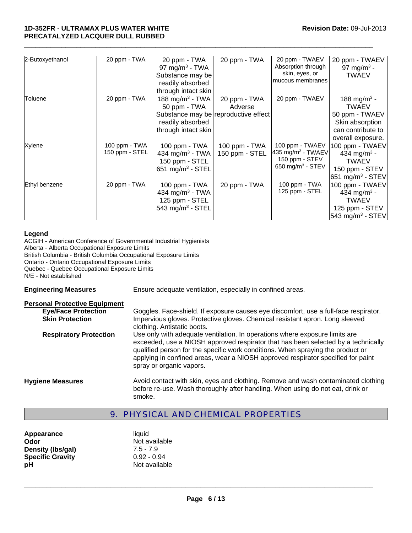#### **1D-352FR** - **ULTRAMAX PLUS WATER WHITE PRECATALYZED LACQUER DULL RUBBED**

| 2-Butoxyethanol | 20 ppm - TWA   | 20 ppm - TWA                         | 20 ppm - TWA   | 20 ppm - TWAEV                | 20 ppm - TWAEV               |
|-----------------|----------------|--------------------------------------|----------------|-------------------------------|------------------------------|
|                 |                | 97 mg/m <sup>3</sup> - TWA           |                | Absorption through            | 97 mg/m <sup>3</sup> -       |
|                 |                | Substance may be                     |                | skin, eyes, or                | <b>TWAEV</b>                 |
|                 |                | readily absorbed                     |                | mucous membranes              |                              |
|                 |                | through intact skin                  |                |                               |                              |
| Toluene         | 20 ppm - TWA   | 188 mg/m <sup>3</sup> - TWA          | 20 ppm - TWA   | 20 ppm - TWAEV                | 188 mg/m <sup>3</sup> -      |
|                 |                | 50 ppm - TWA                         | Adverse        |                               | <b>TWAEV</b>                 |
|                 |                | Substance may be reproductive effect |                |                               | 50 ppm - TWAEV               |
|                 |                | readily absorbed                     |                |                               | Skin absorption              |
|                 |                | through intact skin                  |                |                               | can contribute to            |
|                 |                |                                      |                |                               | overall exposure.            |
| Xylene          | 100 ppm - TWA  | 100 ppm - TWA                        | 100 ppm - TWA  | 100 ppm - TWAEV               | 100 ppm - TWAEV              |
|                 | 150 ppm - STEL | 434 mg/m <sup>3</sup> - TWA          | 150 ppm - STEL | 435 mg/m <sup>3</sup> - TWAEV | 434 mg/m <sup>3</sup> -      |
|                 |                | 150 ppm - STEL                       |                | 150 ppm - STEV                | <b>TWAEV</b>                 |
|                 |                | 651 mg/m $3$ - STEL                  |                | 650 mg/m <sup>3</sup> - STEV  | 150 ppm - STEV               |
|                 |                |                                      |                |                               | 651 mg/m <sup>3</sup> - STEV |
| Ethyl benzene   | 20 ppm - TWA   | 100 ppm - TWA                        | 20 ppm - TWA   | 100 ppm - TWA                 | 100 ppm - TWAEV              |
|                 |                | 434 mg/m <sup>3</sup> - TWA          |                | 125 ppm - STEL                | 434 mg/m <sup>3</sup> -      |
|                 |                | 125 ppm - STEL                       |                |                               | <b>TWAEV</b>                 |
|                 |                | 543 mg/m $3$ - STEL                  |                |                               | 125 ppm - STEV               |
|                 |                |                                      |                |                               | $543 \text{ mg/m}^3$ - STEV  |

 $\Box$ 

#### **Legend**

ACGIH - American Conference of Governmental Industrial Hygienists Alberta - Alberta Occupational Exposure Limits British Columbia - British Columbia Occupational Exposure Limits Ontario - Ontario Occupational Exposure Limits Quebec - Quebec Occupational Exposure Limits N/E - Not established

**Engineering Measures** Ensure adequate ventilation, especially in confined areas.

| <b>Personal Protective Equipment</b><br><b>Eye/Face Protection</b><br><b>Skin Protection</b> | Goggles. Face-shield. If exposure causes eye discomfort, use a full-face respirator.<br>Impervious gloves. Protective gloves. Chemical resistant apron. Long sleeved<br>clothing. Antistatic boots.                                                                                                                                                                 |
|----------------------------------------------------------------------------------------------|---------------------------------------------------------------------------------------------------------------------------------------------------------------------------------------------------------------------------------------------------------------------------------------------------------------------------------------------------------------------|
| <b>Respiratory Protection</b>                                                                | Use only with adequate ventilation. In operations where exposure limits are<br>exceeded, use a NIOSH approved respirator that has been selected by a technically<br>qualified person for the specific work conditions. When spraying the product or<br>applying in confined areas, wear a NIOSH approved respirator specified for paint<br>spray or organic vapors. |
| <b>Hygiene Measures</b>                                                                      | Avoid contact with skin, eyes and clothing. Remove and wash contaminated clothing<br>before re-use. Wash thoroughly after handling. When using do not eat, drink or<br>smoke.                                                                                                                                                                                       |

#### 9. PHYSICAL AND CHEMICAL PROPERTIES

Appearance liquid **Odor** Not available **Density (lbs/gal)** 7.5 - 7.9 **Specific Gravity** 0.92 - 0.94 **pH** Not available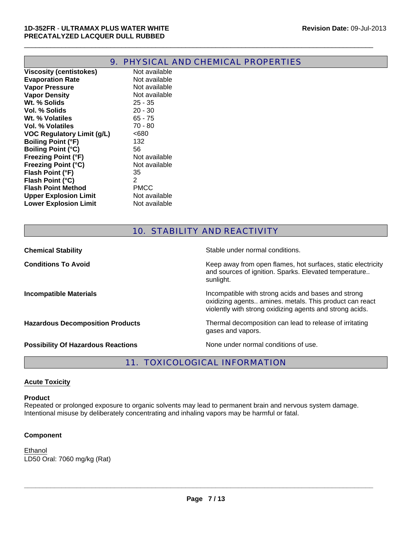|                                | SIGAL AND<br>PRUI |
|--------------------------------|-------------------|
| <b>Viscosity (centistokes)</b> | Not available     |
| <b>Evaporation Rate</b>        | Not available     |
| <b>Vapor Pressure</b>          | Not available     |
| <b>Vapor Density</b>           | Not available     |
| Wt. % Solids                   | $25 - 35$         |
| Vol. % Solids                  | $20 - 30$         |
| Wt. % Volatiles                | $65 - 75$         |
| Vol. % Volatiles               | 70 - 80           |
| VOC Regulatory Limit (g/L)     | <680              |
| <b>Boiling Point (°F)</b>      | 132               |
| <b>Boiling Point (°C)</b>      | 56                |
| <b>Freezing Point (°F)</b>     | Not available     |
| <b>Freezing Point (°C)</b>     | Not available     |
| Flash Point (°F)               | 35                |
| Flash Point (°C)               | 2                 |
| <b>Flash Point Method</b>      | <b>PMCC</b>       |
| <b>Upper Explosion Limit</b>   | Not available     |
| <b>Lower Explosion Limit</b>   | Not available     |
|                                |                   |

# 9. PHYSICAL AND CHEMICAL PROPERTIES

 $\Box$ 

## 10. STABILITY AND REACTIVITY

| <b>Chemical Stability</b>                 | Stable under normal conditions.                                                                                                                                            |
|-------------------------------------------|----------------------------------------------------------------------------------------------------------------------------------------------------------------------------|
| <b>Conditions To Avoid</b>                | Keep away from open flames, hot surfaces, static electricity<br>and sources of ignition. Sparks. Elevated temperature<br>sunlight.                                         |
| <b>Incompatible Materials</b>             | Incompatible with strong acids and bases and strong<br>oxidizing agents amines. metals. This product can react<br>violently with strong oxidizing agents and strong acids. |
| <b>Hazardous Decomposition Products</b>   | Thermal decomposition can lead to release of irritating<br>gases and vapors.                                                                                               |
| <b>Possibility Of Hazardous Reactions</b> | None under normal conditions of use.                                                                                                                                       |

# 11. TOXICOLOGICAL INFORMATION

#### **Acute Toxicity**

#### **Product**

Repeated or prolonged exposure to organic solvents may lead to permanent brain and nervous system damage. Intentional misuse by deliberately concentrating and inhaling vapors may be harmful or fatal.

#### **Component**

LD50 Oral: 7060 mg/kg (Rat) Ethanol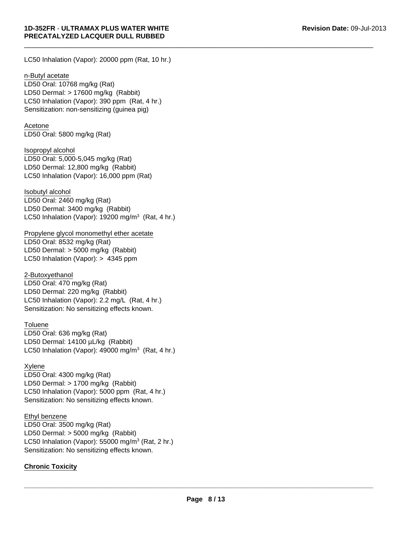LC50 Inhalation (Vapor): 20000 ppm (Rat, 10 hr.)

n-Butyl acetate

LC50 Inhalation (Vapor): 390 ppm (Rat, 4 hr.) Sensitization: non-sensitizing (guinea pig) LD50 Oral: 10768 mg/kg (Rat) LD50 Dermal: > 17600 mg/kg (Rabbit)

Acetone LD50 Oral: 5800 mg/kg (Rat)

LD50 Dermal: 12,800 mg/kg (Rabbit) LC50 Inhalation (Vapor): 16,000 ppm (Rat) Isopropyl alcohol LD50 Oral: 5,000-5,045 mg/kg (Rat)

Isobutyl alcohol LD50 Oral: 2460 mg/kg (Rat) LD50 Dermal: 3400 mg/kg (Rabbit) LC50 Inhalation (Vapor): 19200 mg/m $3$  (Rat, 4 hr.)

Propylene glycol monomethyl ether acetate LD50 Oral: 8532 mg/kg (Rat) LD50 Dermal: > 5000 mg/kg (Rabbit) LC50 Inhalation (Vapor): > 4345 ppm

LC50 Inhalation (Vapor): 2.2 mg/L (Rat, 4 hr.) Sensitization: No sensitizing effects known. 2-Butoxyethanol LD50 Oral: 470 mg/kg (Rat) LD50 Dermal: 220 mg/kg (Rabbit)

#### **Toluene**

LD50 Oral: 636 mg/kg (Rat) LD50 Dermal: 14100 µL/kg (Rabbit) LC50 Inhalation (Vapor):  $49000$  mg/m<sup>3</sup> (Rat, 4 hr.)

Xylene LD50 Oral: 4300 mg/kg (Rat) LD50 Dermal: > 1700 mg/kg (Rabbit) LC50 Inhalation (Vapor): 5000 ppm (Rat, 4 hr.) Sensitization: No sensitizing effects known.

#### Ethyl benzene

LD50 Oral: 3500 mg/kg (Rat) LD50 Dermal: > 5000 mg/kg (Rabbit) LC50 Inhalation (Vapor): 55000 mg/m $3$  (Rat, 2 hr.) Sensitization: No sensitizing effects known.

#### **Chronic Toxicity**

**\_\_\_\_\_\_\_\_\_\_\_\_\_\_\_\_\_\_\_\_\_\_\_\_\_\_\_\_\_\_\_\_\_\_\_\_\_\_\_\_\_\_\_\_\_\_\_\_\_\_\_\_\_\_\_\_\_\_\_\_\_\_\_\_\_\_\_\_\_\_\_\_\_\_\_\_\_\_\_\_\_\_\_\_\_\_\_\_\_\_\_\_\_**

 $\Box$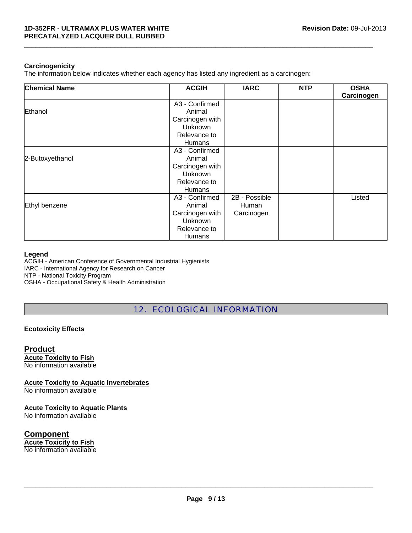#### **Carcinogenicity**

The information below indicates whether each agency has listed any ingredient as a carcinogen:

| <b>Chemical Name</b> | <b>ACGIH</b>    | <b>IARC</b>   | <b>NTP</b> | <b>OSHA</b><br>Carcinogen |
|----------------------|-----------------|---------------|------------|---------------------------|
|                      | A3 - Confirmed  |               |            |                           |
| Ethanol              | Animal          |               |            |                           |
|                      | Carcinogen with |               |            |                           |
|                      | Unknown         |               |            |                           |
|                      | Relevance to    |               |            |                           |
|                      | <b>Humans</b>   |               |            |                           |
|                      | A3 - Confirmed  |               |            |                           |
| 2-Butoxyethanol      | Animal          |               |            |                           |
|                      | Carcinogen with |               |            |                           |
|                      | Unknown         |               |            |                           |
|                      | Relevance to    |               |            |                           |
|                      | <b>Humans</b>   |               |            |                           |
|                      | A3 - Confirmed  | 2B - Possible |            | Listed                    |
| Ethyl benzene        | Animal          | Human         |            |                           |
|                      | Carcinogen with | Carcinogen    |            |                           |
|                      | Unknown         |               |            |                           |
|                      | Relevance to    |               |            |                           |
|                      | <b>Humans</b>   |               |            |                           |

 $\Box$ 

#### **Legend**

ACGIH - American Conference of Governmental Industrial Hygienists IARC - International Agency for Research on Cancer NTP - National Toxicity Program

OSHA - Occupational Safety & Health Administration

12. ECOLOGICAL INFORMATION

#### **Ecotoxicity Effects**

### **Product**

**Acute Toxicity to Fish** No information available

**Acute Toxicity to Aquatic Invertebrates**

No information available

#### **Acute Toxicity to Aquatic Plants**

No information available

#### **Component Acute Toxicity to Fish**

No information available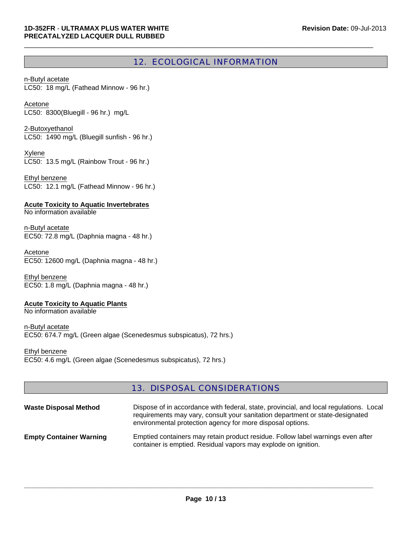#### 12. ECOLOGICAL INFORMATION

 $\Box$ 

LC50: 18 mg/L (Fathead Minnow - 96 hr.) n-Butyl acetate

LC50: 8300(Bluegill - 96 hr.) mg/L Acetone

2-Butoxyethanol LC50: 1490 mg/L (Bluegill sunfish - 96 hr.)

Xylene LC50: 13.5 mg/L (Rainbow Trout - 96 hr.)

LC50: 12.1 mg/L (Fathead Minnow - 96 hr.) Ethyl benzene

**Acute Toxicity to Aquatic Invertebrates** No information available

n-Butyl acetate EC50: 72.8 mg/L (Daphnia magna - 48 hr.)

Acetone EC50: 12600 mg/L (Daphnia magna - 48 hr.)

Ethyl benzene EC50: 1.8 mg/L (Daphnia magna - 48 hr.)

#### **Acute Toxicity to Aquatic Plants**

No information available

n-Butyl acetate EC50: 674.7 mg/L (Green algae (Scenedesmus subspicatus), 72 hrs.)

Ethyl benzene EC50: 4.6 mg/L (Green algae (Scenedesmus subspicatus), 72 hrs.)

#### 13. DISPOSAL CONSIDERATIONS

| <b>Waste Disposal Method</b>   | Dispose of in accordance with federal, state, provincial, and local regulations. Local<br>requirements may vary, consult your sanitation department or state-designated<br>environmental protection agency for more disposal options. |
|--------------------------------|---------------------------------------------------------------------------------------------------------------------------------------------------------------------------------------------------------------------------------------|
| <b>Empty Container Warning</b> | Emptied containers may retain product residue. Follow label warnings even after<br>container is emptied. Residual vapors may explode on ignition.                                                                                     |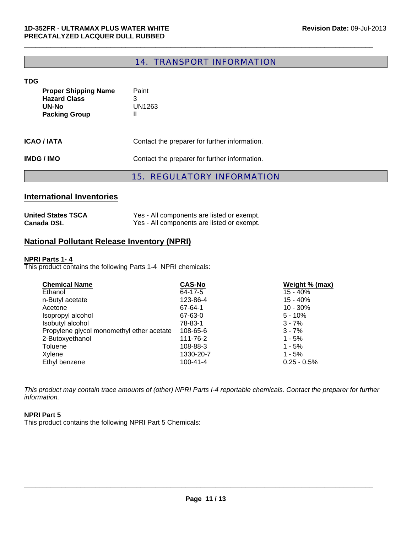## 14. TRANSPORT INFORMATION

 $\Box$ 

#### **TDG**

|                                                                                     | <b>REGULATORY INFORMATION</b><br>15.          |
|-------------------------------------------------------------------------------------|-----------------------------------------------|
| <b>IMDG/IMO</b>                                                                     | Contact the preparer for further information. |
| <b>ICAO / IATA</b>                                                                  | Contact the preparer for further information. |
| <b>Proper Shipping Name</b><br><b>Hazard Class</b><br>UN-No<br><b>Packing Group</b> | Paint<br>3<br>UN1263<br>Ш                     |

### **International Inventories**

| <b>United States TSCA</b> | Yes - All components are listed or exempt. |
|---------------------------|--------------------------------------------|
| <b>Canada DSL</b>         | Yes - All components are listed or exempt. |

#### **National Pollutant Release Inventory (NPRI)**

#### **NPRI Parts 1- 4**

This product contains the following Parts 1-4 NPRI chemicals:

| <b>Chemical Name</b>                      | <b>CAS-No</b> | Weight % (max) |
|-------------------------------------------|---------------|----------------|
| Ethanol                                   | 64-17-5       | $15 - 40%$     |
| n-Butyl acetate                           | 123-86-4      | $15 - 40%$     |
| Acetone                                   | 67-64-1       | $10 - 30%$     |
| Isopropyl alcohol                         | 67-63-0       | $5 - 10%$      |
| Isobutyl alcohol                          | 78-83-1       | $3 - 7%$       |
| Propylene glycol monomethyl ether acetate | 108-65-6      | $3 - 7%$       |
| 2-Butoxyethanol                           | 111-76-2      | $1 - 5%$       |
| Toluene                                   | 108-88-3      | $1 - 5%$       |
| Xylene                                    | 1330-20-7     | $1 - 5%$       |
| Ethyl benzene                             | 100-41-4      | $0.25 - 0.5%$  |

*This product may contain trace amounts of (other) NPRI Parts I-4 reportable chemicals. Contact the preparer for further information.*

#### **NPRI Part 5**

This product contains the following NPRI Part 5 Chemicals: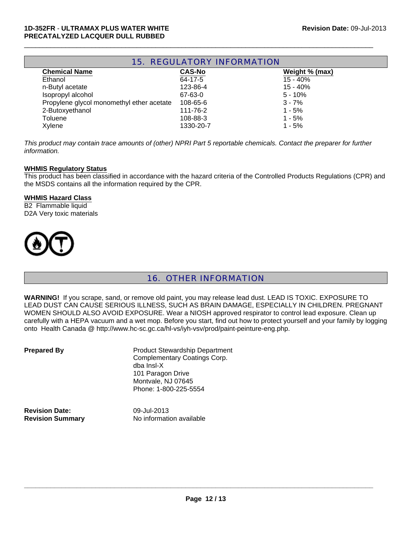| <b>15. REGULATORY INFORMATION</b>         |               |                |  |
|-------------------------------------------|---------------|----------------|--|
| <b>Chemical Name</b>                      | <b>CAS-No</b> | Weight % (max) |  |
| Ethanol                                   | 64-17-5       | $15 - 40%$     |  |
| n-Butyl acetate                           | 123-86-4      | $15 - 40%$     |  |
| Isopropyl alcohol                         | 67-63-0       | $5 - 10%$      |  |
| Propylene glycol monomethyl ether acetate | 108-65-6      | $3 - 7%$       |  |
| 2-Butoxyethanol                           | 111-76-2      | $1 - 5%$       |  |
| <b>Toluene</b>                            | 108-88-3      | $1 - 5%$       |  |
| Xylene                                    | 1330-20-7     | $1 - 5%$       |  |

 $\Box$ 

*This product may contain trace amounts of (other) NPRI Part 5 reportable chemicals. Contact the preparer for further information.*

#### **WHMIS Regulatory Status**

This product has been classified in accordance with the hazard criteria of the Controlled Products Regulations (CPR) and the MSDS contains all the information required by the CPR.

#### **WHMIS Hazard Class**

B2 Flammable liquid D2A Very toxic materials



#### 16. OTHER INFORMATION

**WARNING!** If you scrape, sand, or remove old paint, you may release lead dust. LEAD IS TOXIC. EXPOSURE TO LEAD DUST CAN CAUSE SERIOUS ILLNESS, SUCH AS BRAIN DAMAGE, ESPECIALLY IN CHILDREN. PREGNANT WOMEN SHOULD ALSO AVOID EXPOSURE. Wear a NIOSH approved respirator to control lead exposure. Clean up carefully with a HEPA vacuum and a wet mop. Before you start, find out how to protect yourself and your family by logging onto Health Canada @ http://www.hc-sc.gc.ca/hl-vs/iyh-vsv/prod/paint-peinture-eng.php.

| <b>Prepared By</b> |  |
|--------------------|--|
|--------------------|--|

**Product Stewardship Department** Complementary Coatings Corp. dba Insl-X 101 Paragon Drive Montvale, NJ 07645 Phone: 1-800-225-5554

**Revision Date:** 09-Jul-2013

**Revision Summary** No information available